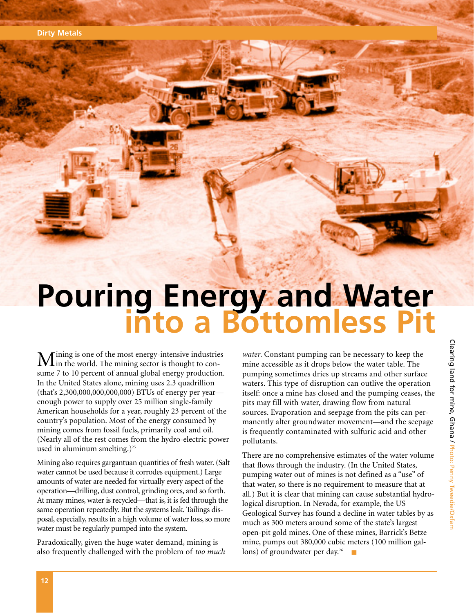## **Pouring Energy and Water into a Bottomless Pit**

Mining is one of the most energy-intensive industries<br>in the world. The mining sector is thought to consume 7 to 10 percent of annual global energy production. In the United States alone, mining uses 2.3 quadrillion (that's 2,300,000,000,000,000) BTUs of energy per year enough power to supply over 25 million single-family American households for a year, roughly 23 percent of the country's population. Most of the energy consumed by mining comes from fossil fuels, primarily coal and oil. (Nearly all of the rest comes from the hydro-electric power used in aluminum smelting.)<sup>25</sup>

Mining also requires gargantuan quantities of fresh water. (Salt water cannot be used because it corrodes equipment.) Large amounts of water are needed for virtually every aspect of the operation—drilling, dust control, grinding ores, and so forth. At many mines, water is recycled—that is, it is fed through the same operation repeatedly. But the systems leak. Tailings disposal, especially, results in a high volume of water loss, so more water must be regularly pumped into the system.

Paradoxically, given the huge water demand, mining is also frequently challenged with the problem of *too much* *water*. Constant pumping can be necessary to keep the mine accessible as it drops below the water table. The pumping sometimes dries up streams and other surface waters. This type of disruption can outlive the operation itself: once a mine has closed and the pumping ceases, the pits may fill with water, drawing flow from natural sources. Evaporation and seepage from the pits can permanently alter groundwater movement—and the seepage is frequently contaminated with sulfuric acid and other pollutants.

There are no comprehensive estimates of the water volume that flows through the industry. (In the United States, pumping water out of mines is not defined as a "use" of that water, so there is no requirement to measure that at all.) But it is clear that mining can cause substantial hydrological disruption. In Nevada, for example, the US Geological Survey has found a decline in water tables by as much as 300 meters around some of the state's largest open-pit gold mines. One of these mines, Barrick's Betze mine, pumps out 380,000 cubic meters (100 million gallons) of groundwater per day.<sup>26</sup>